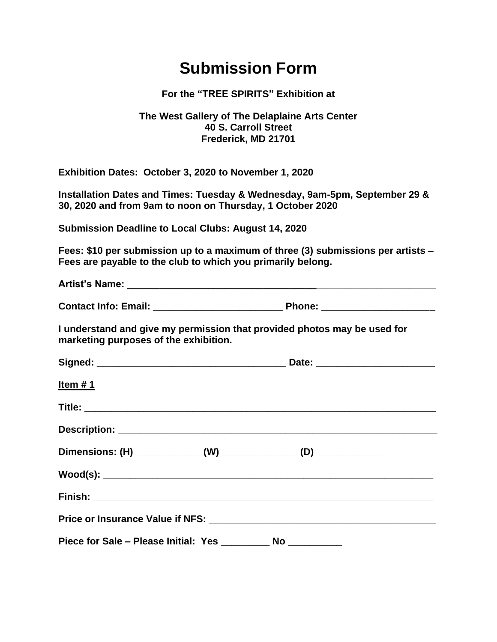## **Submission Form**

## **For the "TREE SPIRITS" Exhibition at**

## **The West Gallery of The Delaplaine Arts Center 40 S. Carroll Street Frederick, MD 21701**

**Exhibition Dates: October 3, 2020 to November 1, 2020**

**Installation Dates and Times: Tuesday & Wednesday, 9am-5pm, September 29 & 30, 2020 and from 9am to noon on Thursday, 1 October 2020**

**Submission Deadline to Local Clubs: August 14, 2020**

**Fees: \$10 per submission up to a maximum of three (3) submissions per artists – Fees are payable to the club to which you primarily belong.**

**Artist's Name: \_\_\_\_\_\_\_\_\_\_\_\_\_\_\_\_\_\_\_\_\_\_\_\_\_\_\_\_\_\_\_\_\_\_\_\_\_\_\_\_\_\_\_\_\_\_\_\_\_\_\_\_\_\_\_\_\_**

**Contact Info: Email: \_\_\_\_\_\_\_\_\_\_\_\_\_\_\_\_\_\_\_\_\_\_\_\_ Phone: \_\_\_\_\_\_\_\_\_\_\_\_\_\_\_\_\_\_\_\_\_**

**I understand and give my permission that provided photos may be used for marketing purposes of the exhibition.**

| <u>Item # 1</u>                                                      |  |
|----------------------------------------------------------------------|--|
|                                                                      |  |
|                                                                      |  |
| Dimensions: (H) _______________ (W) _______________ (D) ____________ |  |
|                                                                      |  |
|                                                                      |  |
|                                                                      |  |
| Piece for Sale - Please Initial: Yes __________ No __________        |  |